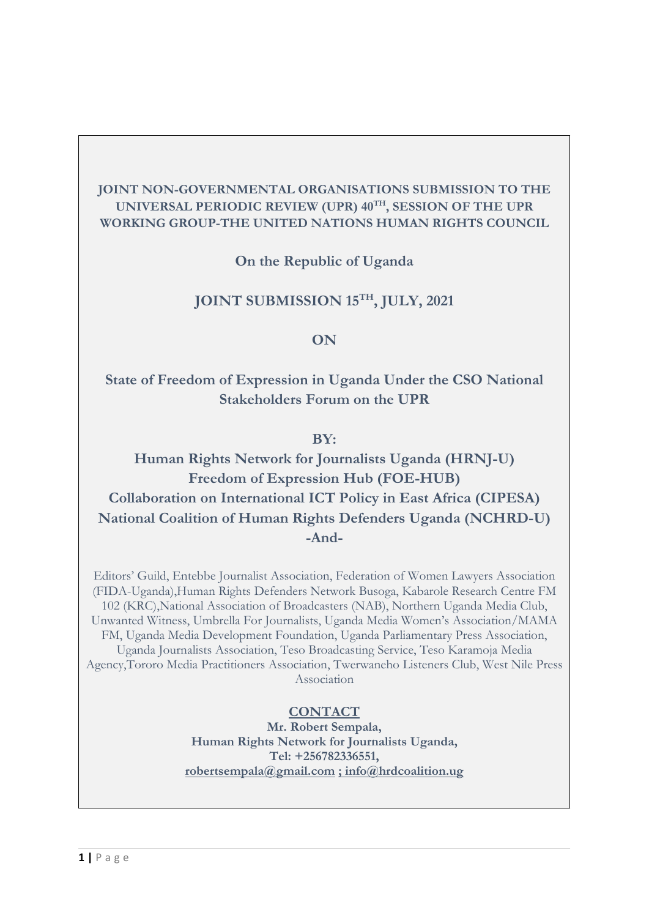## **JOINT NON-GOVERNMENTAL ORGANISATIONS SUBMISSION TO THE UNIVERSAL PERIODIC REVIEW (UPR) <sup>40</sup>TH , SESSION OF THE UPR WORKING GROUP-THE UNITED NATIONS HUMAN RIGHTS COUNCIL**

**On the Republic of Uganda**

# **JOINT SUBMISSION <sup>15</sup>TH , JULY, 2021**

## **ON**

# **State of Freedom of Expression in Uganda Under the CSO National Stakeholders Forum on the UPR**

### **BY:**

**Human Rights Network for Journalists Uganda (HRNJ-U) Freedom of Expression Hub (FOE-HUB) Collaboration on International ICT Policy in East Africa (CIPESA) National Coalition of Human Rights Defenders Uganda (NCHRD-U) -And-**

Editors' Guild, Entebbe Journalist Association, Federation of Women Lawyers Association (FIDA-Uganda),Human Rights Defenders Network Busoga, Kabarole Research Centre FM 102 (KRC),National Association of Broadcasters (NAB), Northern Uganda Media Club, Unwanted Witness, Umbrella For Journalists, Uganda Media Women'<sup>s</sup> Association/MAMA FM, Uganda Media Development Foundation, Uganda Parliamentary Press Association, Uganda Journalists Association, Teso Broadcasting Service, Teso Karamoja Media Agency,Tororo Media Practitioners Association, Twerwaneho Listeners Club, West Nile Press Association

## **CONTACT**

**Mr. Robert Sempala, Human Rights Network for Journalists Uganda, Tel: +256782336551, [robertsempala@gmail.com](mailto:robertsempala@gmail.com) ; [info@hrdcoalition.ug](mailto:;%20info@hrdcoalition.ug)**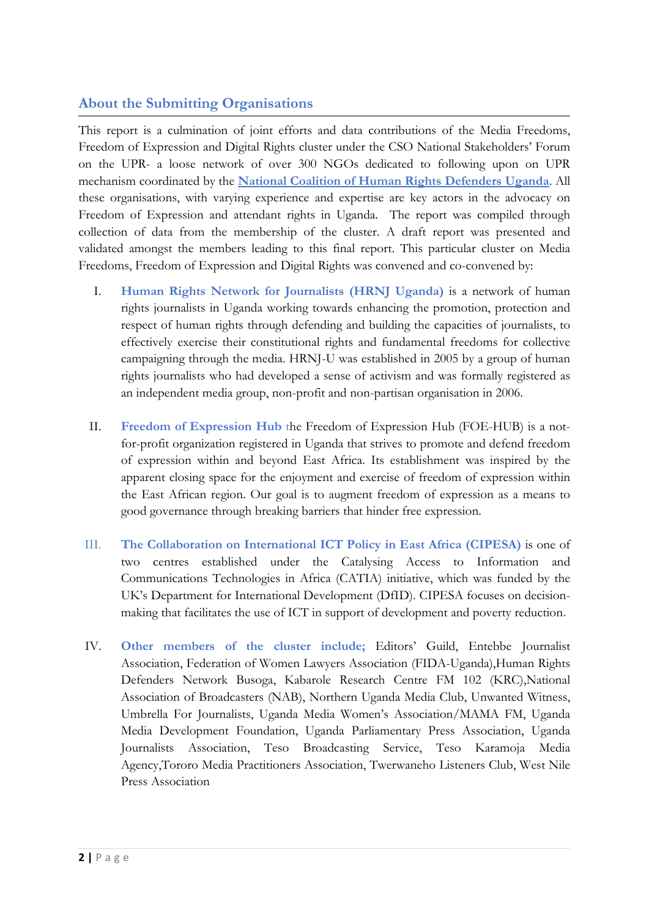## **About the Submitting Organisations**

This report is <sup>a</sup> culmination of joint efforts and data contributions of the Media Freedoms, Freedom of Expression and Digital Rights cluster under the CSO National Stakeholders' Forum on the UPR- <sup>a</sup> loose network of over 300 NGOs dedicated to following upon on UPR mechanism coordinated by the **National Coalition of Human Rights Defenders [Uganda](http://www.hrdcoalition.ug)**. All these organisations, with varying experience and expertise are key actors in the advocacy on Freedom of Expression and attendant rights in Uganda. The report was compiled through collection of data from the membership of the cluster. A draft report was presented and validated amongst the members leading to this final report. This particular cluster on Media Freedoms, Freedom of Expression and Digital Rights was convened and co-convened by:

- I. **Human Rights Network for Journalists (HRNJ Uganda)** is <sup>a</sup> network of human rights journalists in Uganda working towards enhancing the promotion, protection and respect of human rights through defending and building the capacities of journalists, to effectively exercise their constitutional rights and fundamental freedoms for collective campaigning through the media. HRNJ-U was established in 2005 by <sup>a</sup> group of human rights journalists who had developed <sup>a</sup> sense of activism and was formally registered as an independent media group, non-profit and non-partisan organisation in 2006.
- II. **Freedom of Expression Hub** the Freedom of Expression Hub (FOE-HUB) is <sup>a</sup> notfor-profit organization registered in Uganda that strives to promote and defend freedom of expression within and beyond East Africa. Its establishment was inspired by the apparent closing space for the enjoyment and exercise of freedom of expression within the East African region. Our goal is to augment freedom of expression as <sup>a</sup> means to good governance through breaking barriers that hinder free expression.
- III. **The Collaboration on International ICT Policy in East Africa (CIPESA)** is one of two centres established under the Catalysing Access to Information and Communications Technologies in Africa (CATIA) initiative, which was funded by the UK'<sup>s</sup> Department for International Development (DfID). CIPESA focuses on decisionmaking that facilitates the use of ICT in support of development and poverty reduction**.**
- IV. **Other members of the cluster include;** Editors' Guild, Entebbe Journalist Association, Federation of Women Lawyers Association (FIDA-Uganda),Human Rights Defenders Network Busoga, Kabarole Research Centre FM 102 (KRC),National Association of Broadcasters (NAB), Northern Uganda Media Club, Unwanted Witness, Umbrella For Journalists, Uganda Media Women'<sup>s</sup> Association/MAMA FM, Uganda Media Development Foundation, Uganda Parliamentary Press Association, Uganda Journalists Association, Teso Broadcasting Service, Teso Karamoja Media Agency,Tororo Media Practitioners Association, Twerwaneho Listeners Club, West Nile Press Association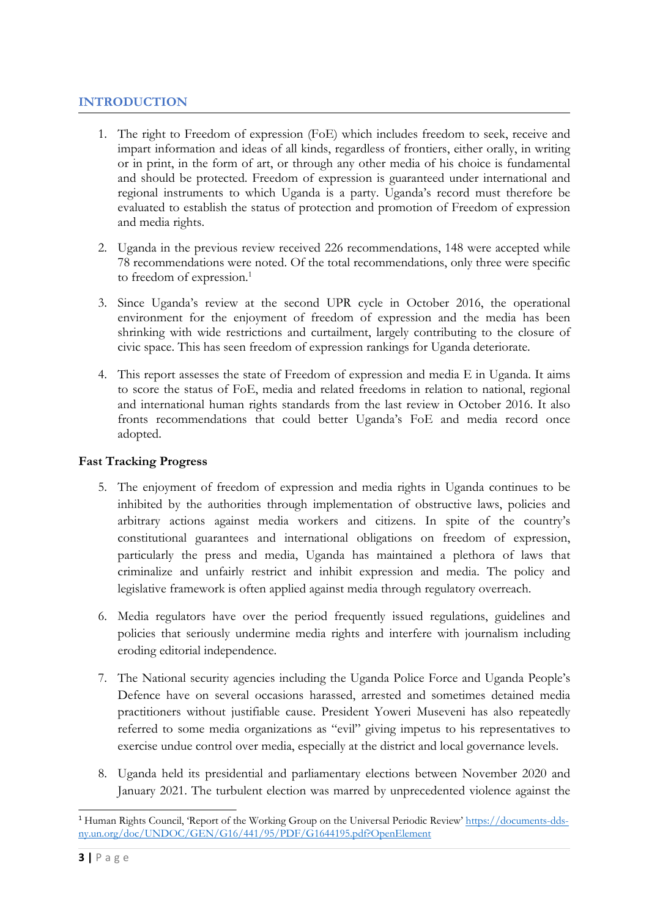### **INTRODUCTION**

- 1. The right to Freedom of expression (FoE) which includes freedom to seek, receive and impart information and ideas of all kinds, regardless of frontiers, either orally, in writing or in print, in the form of art, or through any other media of his choice is fundamental and should be protected. Freedom of expression is guaranteed under international and regional instruments to which Uganda is <sup>a</sup> party. Uganda'<sup>s</sup> record must therefore be evaluated to establish the status of protection and promotion of Freedom of expression and media rights.
- 2. Uganda in the previous review received 226 recommendations, 148 were accepted while 78 recommendations were noted. Of the total recommendations, only three were specific to freedom of expression. 1
- 3. Since Uganda'<sup>s</sup> review at the second UPR cycle in October 2016, the operational environment for the enjoyment of freedom of expression and the media has been shrinking with wide restrictions and curtailment, largely contributing to the closure of civic space. This has seen freedom of expression rankings for Uganda deteriorate.
- 4. This report assesses the state of Freedom of expression and media <sup>E</sup> in Uganda. It aims to score the status of FoE, media and related freedoms in relation to national, regional and international human rights standards from the last review in October 2016. It also fronts recommendations that could better Uganda'<sup>s</sup> FoE and media record once adopted.

### **Fast Tracking Progress**

- 5. The enjoyment of freedom of expression and media rights in Uganda continues to be inhibited by the authorities through implementation of obstructive laws, policies and arbitrary actions against media workers and citizens. In spite of the country'<sup>s</sup> constitutional guarantees and international obligations on freedom of expression, particularly the press and media, Uganda has maintained <sup>a</sup> plethora of laws that criminalize and unfairly restrict and inhibit expression and media. The policy and legislative framework is often applied against media through regulatory overreach.
- 6. Media regulators have over the period frequently issued regulations, guidelines and policies that seriously undermine media rights and interfere with journalism including eroding editorial independence.
- 7. The National security agencies including the Uganda Police Force and Uganda People'<sup>s</sup> Defence have on several occasions harassed, arrested and sometimes detained media practitioners without justifiable cause. President Yoweri Museveni has also repeatedly referred to some media organizations as "evil" giving impetus to his representatives to exercise undue control over media, especially at the district and local governance levels.
- 8. Uganda held its presidential and parliamentary elections between November 2020 and January 2021. The turbulent election was marred by unprecedented violence against the

<sup>1</sup> Human Rights Council, 'Report of the Working Group on the Universal Periodic Review' [https://documents-dds](https://documents-dds-ny.un.org/doc/UNDOC/GEN/G16/441/95/PDF/G1644195.pdf?OpenElement)[ny.un.org/doc/UNDOC/GEN/G16/441/95/PDF/G1644195.pdf?OpenElement](https://documents-dds-ny.un.org/doc/UNDOC/GEN/G16/441/95/PDF/G1644195.pdf?OpenElement)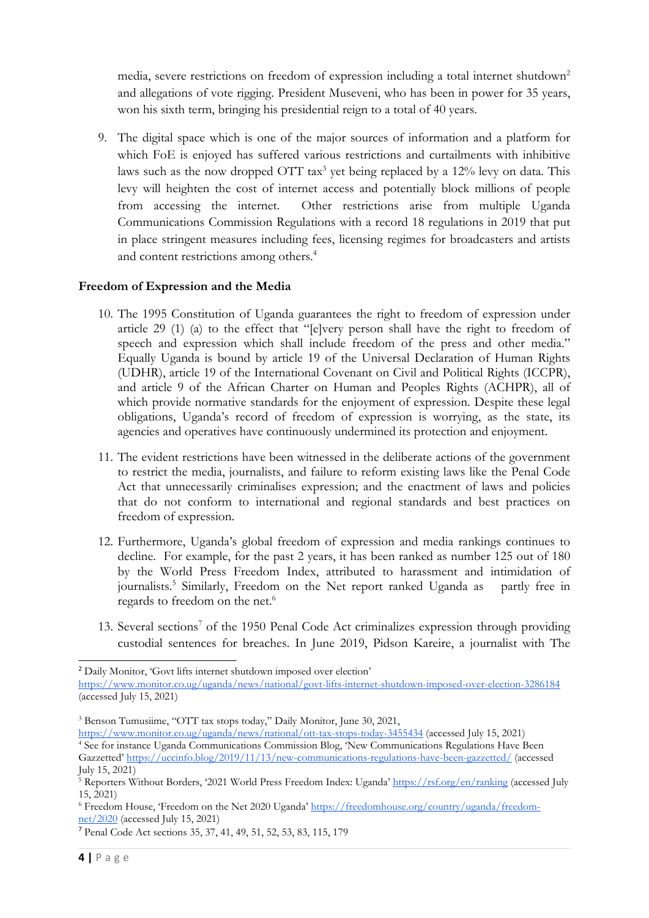media, severe restrictions on freedom of expression including a total internet shutdown<sup>2</sup> and allegations of vote rigging. President Museveni, who has been in power for 35 years, won his sixth term, bringing his presidential reign to <sup>a</sup> total of 40 years.

9. The digital space which is one of the major sources of information and <sup>a</sup> platform for which FoE is enjoyed has suffered various restrictions and curtailments with inhibitive laws such as the now dropped OTT tax<sup>3</sup> yet being replaced by a 12% levy on data. This levy will heighten the cost of internet access and potentially block millions of people from accessing the internet. Other restrictions arise from multiple Uganda Communications Commission Regulations with <sup>a</sup> record 18 regulations in 2019 that put in place stringent measures including fees, licensing regimes for broadcasters and artists and content restrictions among others. 4

### **Freedom of Expression and the Media**

- 10. The 1995 Constitution of Uganda guarantees the right to freedom of expression under article 29 (1) (a) to the effect that "[e]very person shall have the right to freedom of speech and expression which shall include freedom of the press and other media." Equally Uganda is bound by article 19 of the Universal Declaration of Human Rights (UDHR), article 19 of the International Covenant on Civil and Political Rights (ICCPR), and article 9 of the African Charter on Human and Peoples Rights (ACHPR), all of which provide normative standards for the enjoyment of expression. Despite these legal obligations, Uganda'<sup>s</sup> record of freedom of expression is worrying, as the state, its agencies and operatives have continuously undermined its protection and enjoyment.
- 11. The evident restrictions have been witnessed in the deliberate actions of the government to restrict the media, journalists, and failure to reform existing laws like the Penal Code Act that unnecessarily criminalises expression; and the enactment of laws and policies that do not conform to international and regional standards and best practices on freedom of expression.
- 12. Furthermore, Uganda'<sup>s</sup> global freedom of expression and media rankings continues to decline. For example, for the past <sup>2</sup> years, it has been ranked as number 125 out of 180 by the World Press Freedom Index, attributed to harassment and intimidation of journalists. 5 Similarly, Freedom on the Net report ranked Uganda as partly free in regards to freedom on the net. 6
- 13. Several sections 7 of the 1950 Penal Code Act criminalizes expression through providing custodial sentences for breaches. In June 2019, Pidson Kareire, <sup>a</sup> journalist with The

<sup>2</sup> Daily Monitor, 'Govt lifts internet shutdown imposed over election['](https://www.monitor.co.ug/uganda/news/national/govt-lifts-internet-shutdown-imposed-over-election-3286184)

<https://www.monitor.co.ug/uganda/news/national/govt-lifts-internet-shutdown-imposed-over-election-3286184> (accessed July 15, 2021)

<sup>&</sup>lt;sup>3</sup> Benson Tumusiime, "OTT tax stops today," Daily Monitor, June 30, 2021,

<https://www.monitor.co.ug/uganda/news/national/ott-tax-stops-today-3455434> (accessed July 15, 2021) 4 See for instance Uganda Communications Commission Blog, 'New Communications Regulations Have Been Gazzetted' <https://uccinfo.blog/2019/11/13/new-communications-regulations-have-been-gazzetted/> (accessed July 15, 2021)

<sup>&</sup>lt;sup>5</sup> Reporters Without Borders, '2021 World Press Freedom Index: Uganda' <https://rsf.org/en/ranking> (accessed July 15, 2021)

<sup>6</sup> Freedom House, 'Freedom on the Net <sup>2020</sup> Uganda' [https://freedomhouse.org/country/uganda/freedom](https://freedomhouse.org/country/uganda/freedom-net/2020)[net/2020](https://freedomhouse.org/country/uganda/freedom-net/2020) (accessed July 15, 2021)

<sup>7</sup> Penal Code Act sections 35, 37, 41, 49, 51, 52, 53, 83, 115, 179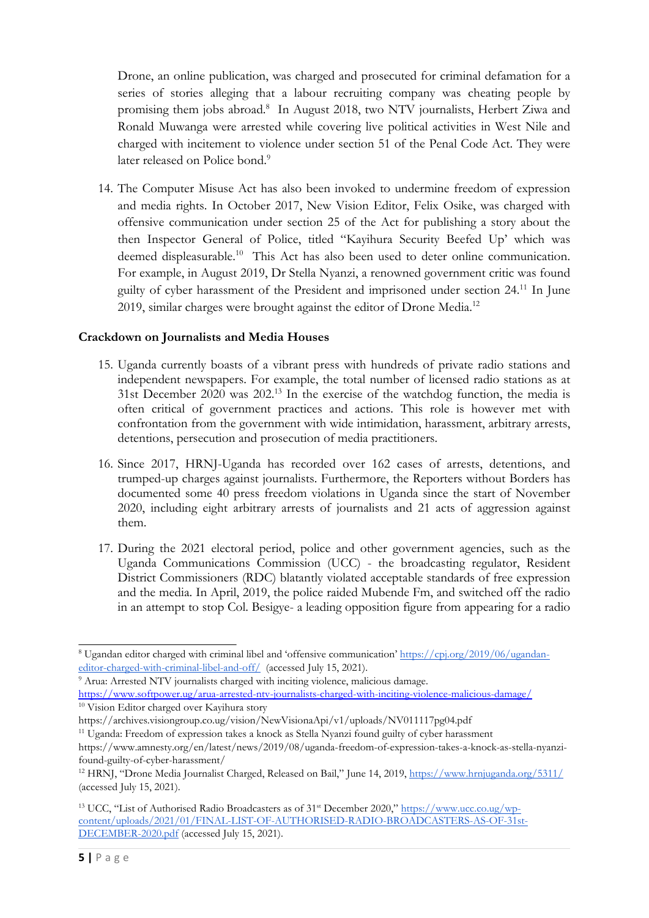Drone, an online publication, was charged and prosecuted for criminal defamation for <sup>a</sup> series of stories alleging that <sup>a</sup> labour recruiting company was cheating people by promising them jobs abroad. 8 In August 2018, two NTV journalists, Herbert Ziwa and Ronald Muwanga were arrested while covering live political activities in West Nile and charged with incitement to violence under section 51 of the Penal Code Act. They were later released on Police bond.<sup>9</sup>

14. The Computer Misuse Act has also been invoked to undermine freedom of expression and media rights. In October 2017, New Vision Editor, Felix Osike, was charged with offensive communication under section 25 of the Act for publishing <sup>a</sup> story about the then Inspector General of Police, titled "Kayihura Security Beefed Up' which was deemed displeasurable. 10 This Act has also been used to deter online communication. For example, in August 2019, Dr Stella Nyanzi, <sup>a</sup> renowned government critic was found guilty of cyber harassment of the President and imprisoned under section 24. 11 In June 2019, similar charges were brought against the editor of Drone Media.<sup>12</sup>

#### **Crackdown on Journalists and Media Houses**

- 15. Uganda currently boasts of <sup>a</sup> vibrant press with hundreds of private radio stations and independent newspapers. For example, the total number of licensed radio stations as at 31st December 2020 was 202. 13 In the exercise of the watchdog function, the media is often critical of government practices and actions. This role is however met with confrontation from the government with wide intimidation, harassment, arbitrary arrests, detentions, persecution and prosecution of media practitioners.
- 16. Since 2017, HRNJ-Uganda has recorded over 162 cases of arrests, detentions, and trumped-up charges against journalists. Furthermore, the Reporters without Borders has documented some 40 press freedom violations in Uganda since the start of November 2020, including eight arbitrary arrests of journalists and <sup>21</sup> acts of aggression against them.
- 17. During the 2021 electoral period, police and other government agencies, such as the Uganda Communications Commission (UCC) - the broadcasting regulator, Resident District Commissioners (RDC) blatantly violated acceptable standards of free expression and the media. In April, 2019, the police raided Mubende Fm, and switched off the radio in an attempt to stop Col. Besigye- <sup>a</sup> leading opposition figure from appearing for <sup>a</sup> radio

<sup>8</sup> Ugandan editor charged with criminal libel and 'offensive communication' [https://cpj.org/2019/06/ugandan](https://cpj.org/2019/06/ugandan-editor-charged-with-criminal-libel-and-off/)[editor-charged-with-criminal-libel-and-off/](https://cpj.org/2019/06/ugandan-editor-charged-with-criminal-libel-and-off/) (accessed July 15, 2021).

<sup>&</sup>lt;sup>9</sup> Arua: Arrested NTV journalists charged with inciting violence, malicious damage. https://www.softpower.ug/arua-arrested-ntv-journalists-charged-with-inciting-violence-malicious-damage/

<sup>10</sup> Vision Editor charged over Kayihura story

https://archives.visiongroup.co.ug/vision/NewVisionaApi/v1/uploads/NV011117pg04.pdf

<sup>&</sup>lt;sup>11</sup> Uganda: Freedom of expression takes a knock as Stella Nyanzi found guilty of cyber harassment

https://www.amnesty.org/en/latest/news/2019/08/uganda-freedom-of-expression-takes-a-knock-as-stella-nyanzifound-guilty-of-cyber-harassment/

<sup>&</sup>lt;sup>12</sup> HRNJ, "Drone Media Journalist Charged, Released on Bail," June 14, 2019, <https://www.hrnjuganda.org/5311/> (accessed July 15, 2021).

<sup>&</sup>lt;sup>13</sup> UCC, "List of Authorised Radio Broadcasters as of 31<sup>st</sup> December 2020," [https://www.ucc.co.ug/wp](https://www.ucc.co.ug/wp-content/uploads/2021/01/FINAL-LIST-OF-AUTHORISED-RADIO-BROADCASTERS-AS-OF-31st-DECEMBER-2020.pdf)[content/uploads/2021/01/FINAL-LIST-OF-AUTHORISED-RADIO-BROADCASTERS-AS-OF-31st-](https://www.ucc.co.ug/wp-content/uploads/2021/01/FINAL-LIST-OF-AUTHORISED-RADIO-BROADCASTERS-AS-OF-31st-DECEMBER-2020.pdf)[DECEMBER-2020.pdf](https://www.ucc.co.ug/wp-content/uploads/2021/01/FINAL-LIST-OF-AUTHORISED-RADIO-BROADCASTERS-AS-OF-31st-DECEMBER-2020.pdf) (accessed July 15, 2021).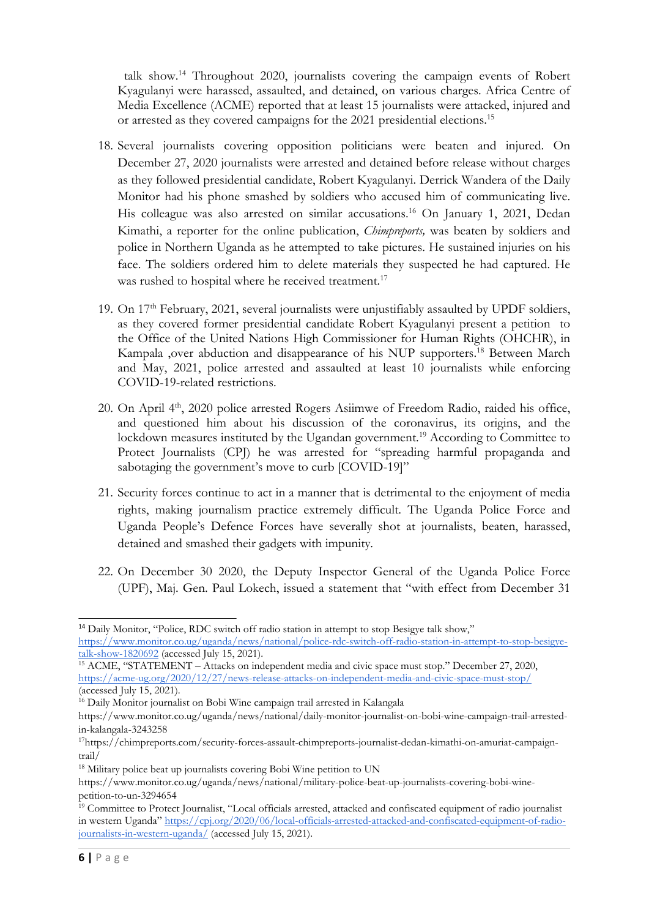talk show. 14 Throughout 2020, journalists covering the campaign events of Robert Kyagulanyi were harassed, assaulted, and detained, on various charges. Africa Centre of Media Excellence (ACME) reported that at least 15 journalists were attacked, injured and or arrested as they covered campaigns for the 2021 presidential elections.<sup>15</sup>

- 18. Several journalists covering opposition politicians were beaten and injured. On December 27, 2020 journalists were arrested and detained before release without charges as they followed presidential candidate, Robert Kyagulanyi. Derrick Wandera of the Daily Monitor had his phone smashed by soldiers who accused him of communicating live. His colleague was also arrested on similar accusations. <sup>16</sup> On January 1, 2021, Dedan Kimathi, <sup>a</sup> reporter for the online publication, *Chimpreports,* was beaten by soldiers and police in Northern Uganda as he attempted to take pictures. He sustained injuries on his face. The soldiers ordered him to delete materials they suspected he had captured. He was rushed to hospital where he received treatment.<sup>17</sup>
- 19. On 17<sup>th</sup> February, 2021, several journalists were unjustifiably assaulted by UPDF soldiers, as they covered former presidential candidate Robert Kyagulanyi present <sup>a</sup> petition to the Office of the United Nations High Commissioner for Human Rights (OHCHR), in Kampala ,over abduction and disappearance of his NUP supporters. 18 Between March and May, 2021, police arrested and assaulted at least 10 journalists while enforcing COVID-19-related restrictions.
- 20. On April 4<sup>th</sup>, 2020 police arrested Rogers Asiimwe of Freedom Radio, raided his office, and questioned him about his discussion of the coronavirus, its origins, and the lockdown measures instituted by the Ugandan government. <sup>19</sup> According to Committee to Protect Journalists (CPJ) he was arrested for "spreading harmful propaganda and sabotaging the government's move to curb [COVID-19]"
- 21. Security forces continue to act in <sup>a</sup> manner that is detrimental to the enjoyment of media rights, making journalism practice extremely difficult. The Uganda Police Force and Uganda People'<sup>s</sup> Defence Forces have severally shot at journalists, beaten, harassed, detained and smashed their gadgets with impunity.
- 22. On December 30 2020, the Deputy Inspector General of the Uganda Police Force (UPF), Maj. Gen. Paul Lokech, issued <sup>a</sup> statement that "with effect from December 31

<sup>&</sup>lt;sup>14</sup> Daily Monitor, "Police, RDC switch off radio station in attempt to stop Besigye talk show," [https://www.monitor.co.ug/uganda/news/national/police-rdc-switch-off-radio-station-in-attempt-to-stop-besigye](https://www.monitor.co.ug/uganda/news/national/police-rdc-switch-off-radio-station-in-attempt-to-stop-besigye-talk-show-1820692)[talk-show-1820692](https://www.monitor.co.ug/uganda/news/national/police-rdc-switch-off-radio-station-in-attempt-to-stop-besigye-talk-show-1820692) (accessed July 15, 2021).

<sup>&</sup>lt;sup>15</sup> ACME[,](https://acme-ug.org/2020/12/27/news-release-attacks-on-independent-media-and-civic-space-must-stop/) "STATEMENT – Attacks on independent media and civic space must stop." December 27, 2020, <https://acme-ug.org/2020/12/27/news-release-attacks-on-independent-media-and-civic-space-must-stop/>  $(\text{accessed July } 15, 2021).$ 

<sup>&</sup>lt;sup>16</sup> Daily Monitor journalist on Bobi Wine campaign trail arrested in Kalangala

https://www.monitor.co.ug/uganda/news/national/daily-monitor-journalist-on-bobi-wine-campaign-trail-arrestedin-kalangala-3243258

<sup>17</sup> https://chimpreports.com/security-forces-assault-chimpreports-journalist-dedan-kimathi-on-amuriat-campaigntrail/

<sup>&</sup>lt;sup>18</sup> Military police beat up journalists covering Bobi Wine petition to UN

https://www.monitor.co.ug/uganda/news/national/military-police-beat-up-journalists-covering-bobi-winepetition-to-un-3294654

<sup>&</sup>lt;sup>19</sup> Committee to Protect Journalist, "Local officials arrested, attacked and confiscated equipment of radio journalist in western Uganda" [https://cpj.org/2020/06/local-officials-arrested-attacked-and-confiscated-equipment-of-radio](https://cpj.org/2020/06/local-officials-arrested-attacked-and-confiscated-equipment-of-radio-journalists-in-western-uganda/)[journalists-in-western-uganda/](https://cpj.org/2020/06/local-officials-arrested-attacked-and-confiscated-equipment-of-radio-journalists-in-western-uganda/) (accessed July 15, 2021).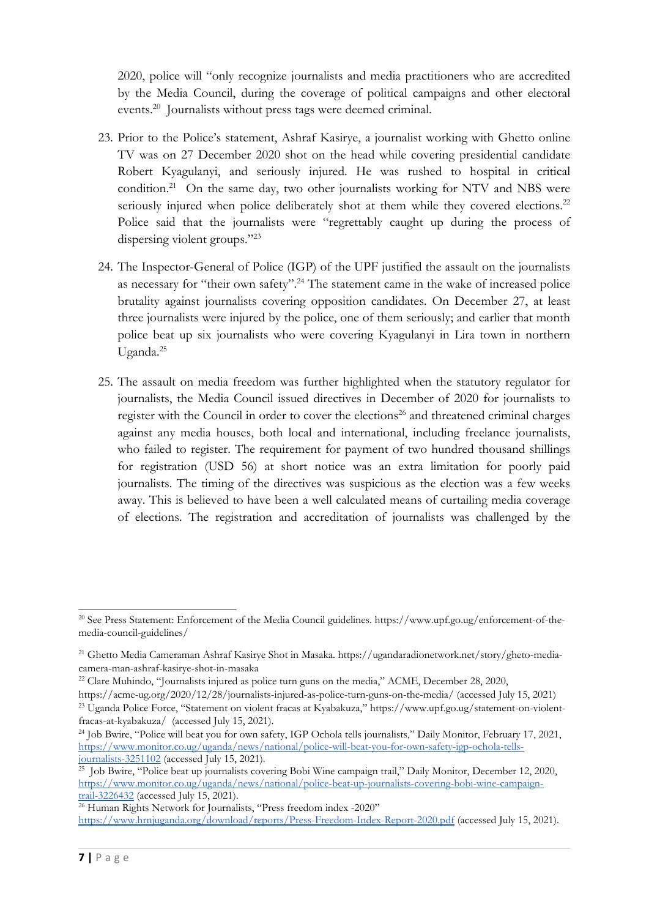2020, police will "only recognize journalists and media practitioners who are accredited by the Media Council, during the coverage of political campaigns and other electoral events. 20 Journalists without press tags were deemed criminal.

- 23. Prior to the Police'<sup>s</sup> statement, Ashraf Kasirye, <sup>a</sup> journalist working with Ghetto online TV was on 27 December 2020 shot on the head while covering presidential candidate Robert Kyagulanyi, and seriously injured. He was rushed to hospital in critical condition.<sup>21</sup> On the same day, two other journalists working for NTV and NBS were seriously injured when police deliberately shot at them while they covered elections.<sup>22</sup> Police said that the journalists were "regrettably caught up during the process of dispersing violent groups."23
- 24. The Inspector-General of Police (IGP) of the UPF justified the assault on the journalists as necessary for "their own safety". 24 The statement came in the wake of increased police brutality against journalists covering opposition candidates. On December 27, at least three journalists were injured by the police, one of them seriously; and earlier that month police beat up six journalists who were covering Kyagulanyi in Lira town in northern Uganda. 25
- 25. The assault on media freedom was further highlighted when the statutory regulator for journalists, the Media Council issued directives in December of 2020 for journalists to register with the Council in order to cover the elections 26 and threatened criminal charges against any media houses, both local and international, including freelance journalists, who failed to register. The requirement for payment of two hundred thousand shillings for registration (USD 56) at short notice was an extra limitation for poorly paid journalists. The timing of the directives was suspicious as the election was <sup>a</sup> few weeks away. This is believed to have been <sup>a</sup> well calculated means of curtailing media coverage of elections. The registration and accreditation of journalists was challenged by the

https://acme-ug.org/2020/12/28/journalists-injured-as-police-turn-guns-on-the-media/ (accessed July 15, 2021) <sup>23</sup> Uganda Police Force, "Statement on violent fracas at Kyabakuza," https://www.upf.go.ug/statement-on-violentfracas-at-kyabakuza/ (accessed July 15, 2021).

<sup>20</sup> See Press Statement: Enforcement of the Media Council guidelines. https://www.upf.go.ug/enforcement-of-themedia-council-guidelines/

<sup>&</sup>lt;sup>21</sup> Ghetto Media Cameraman Ashraf Kasirye Shot in Masaka. https://ugandaradionetwork.net/story/gheto-mediacamera-man-ashraf-kasirye-shot-in-masaka

 $^{22}$  Clare Muhindo, "Journalists injured as police turn guns on the media," ACME, December 28, 2020,

<sup>&</sup>lt;sup>24</sup> Job Bwire, "Police will beat you for own safety, IGP Ochola tells journalists," Daily Monitor, February 17, 2021, [https://www.monitor.co.ug/uganda/news/national/police-will-beat-you-for-own-safety-igp-ochola-tells](https://www.monitor.co.ug/uganda/news/national/police-will-beat-you-for-own-safety-igp-ochola-tells-journalists-3251102)[journalists-3251102](https://www.monitor.co.ug/uganda/news/national/police-will-beat-you-for-own-safety-igp-ochola-tells-journalists-3251102) (accessed July 15, 2021).

<sup>&</sup>lt;sup>25</sup> Job Bwire[,](https://www.monitor.co.ug/uganda/news/national/police-will-beat-you-for-own-safety-igp-ochola-tells-journalists-3251102) "Police beat up journalists covering Bobi Wine campaign trail," Daily Monitor, December 12, 2020, [https://www.monitor.co.ug/uganda/news/national/police-beat-up-journalists-covering-bobi-wine-campaign](https://www.monitor.co.ug/uganda/news/national/police-beat-up-journalists-covering-bobi-wine-campaign-trail-3226432)[trail-3226432](https://www.monitor.co.ug/uganda/news/national/police-beat-up-journalists-covering-bobi-wine-campaign-trail-3226432) (accessed July 15, 2021).

 $\frac{26}{26}$  Human Rights Network for Journalists, "Press freedom index -2020" <https://www.hrnjuganda.org/download/reports/Press-Freedom-Index-Report-2020.pdf> (accessed July 15, 2021).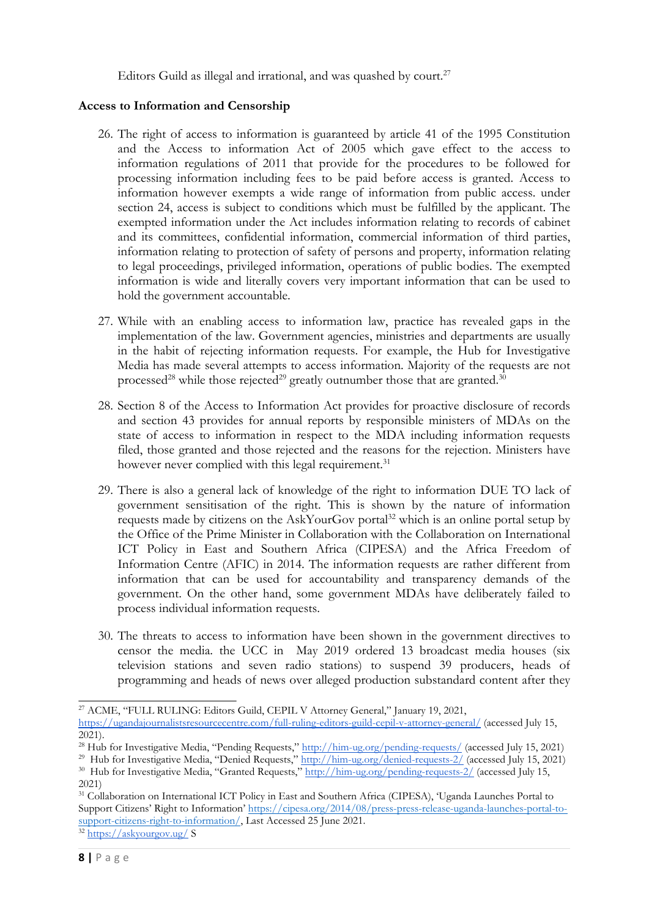Editors Guild as illegal and irrational, and was quashed by court. 27

#### **Access to Information and Censorship**

- 26. The right of access to information is guaranteed by article 41 of the 1995 Constitution and the Access to information Act of 2005 which gave effect to the access to information regulations of 2011 that provide for the procedures to be followed for processing information including fees to be paid before access is granted. Access to information however exempts <sup>a</sup> wide range of information from public access. under section 24, access is subject to conditions which must be fulfilled by the applicant. The exempted information under the Act includes information relating to records of cabinet and its committees, confidential information, commercial information of third parties, information relating to protection of safety of persons and property, information relating to legal proceedings, privileged information, operations of public bodies. The exempted information is wide and literally covers very important information that can be used to hold the government accountable.
- 27. While with an enabling access to information law, practice has revealed gaps in the implementation of the law. Government agencies, ministries and departments are usually in the habit of rejecting information requests. For example, the Hub for Investigative Media has made several attempts to access information. Majority of the requests are not processed $^{28}$  while those rejected $^{29}$  greatly outnumber those that are granted. $^{30}$
- 28. Section 8 of the Access to Information Act provides for proactive disclosure of records and section 43 provides for annual reports by responsible ministers of MDAs on the state of access to information in respect to the MDA including information requests filed, those granted and those rejected and the reasons for the rejection. Ministers have however never complied with this legal requirement.<sup>31</sup>
- 29. There is also <sup>a</sup> general lack of knowledge of the right to information DUE TO lack of government sensitisation of the right. This is shown by the nature of information requests made by citizens on the AskYourGov portal 32 which is an online portal setup by the Office of the Prime Minister in Collaboration with the Collaboration on International ICT Policy in East and Southern Africa (CIPESA) and the Africa Freedom of Information Centre (AFIC) in 2014. The information requests are rather different from information that can be used for accountability and transparency demands of the government. On the other hand, some government MDAs have deliberately failed to process individual information requests.
- 30. The threats to access to information have been shown in the government directives to censor the media. the UCC in May 2019 ordered 13 broadcast media houses (six television stations and seven radio stations) to suspend 39 producers, heads of programming and heads of news over alleged production substandard content after they

<sup>27</sup> ACME, "FULL RULING: Editors Guild, CEPIL <sup>V</sup> Attorney General," January 19, 2021,

<https://ugandajournalistsresourcecentre.com/full-ruling-editors-guild-cepil-v-attorney-general/> (accessed July 15,  $2021$ ).

<sup>&</sup>lt;sup>28</sup> Hub for Investigative Media, "Pending Requests," <http://him-ug.org/pending-requests/> (accessed July 15, 2021)

<sup>&</sup>lt;sup>29</sup> Hub for Investigative Media, "Denied Requests," <http://him-ug.org/denied-requests-2/> (accessed July 15, 2021)

<sup>&</sup>lt;sup>30</sup> Hub for Investigative Media, "Granted Requests," <http://him-ug.org/pending-requests-2/> (accessed July 15, 2021)

<sup>&</sup>lt;sup>31</sup> Collaboration on International ICT Policy in East and Southern Africa (CIPESA), 'Uganda Launches Portal to Support Citizens' Right to Information' [https://cipesa.org/2014/08/press-press-release-uganda-launches-portal-to](https://cipesa.org/2014/08/press-press-release-uganda-launches-portal-to-support-citizens-right-to-information/)support-c[itizens-right-to-information/](https://cipesa.org/2014/08/press-press-release-uganda-launches-portal-to-support-citizens-right-to-information/), Last Accessed 25 June 2021.

<sup>&</sup>lt;sup>32</sup> <https://askyourgov.ug/> S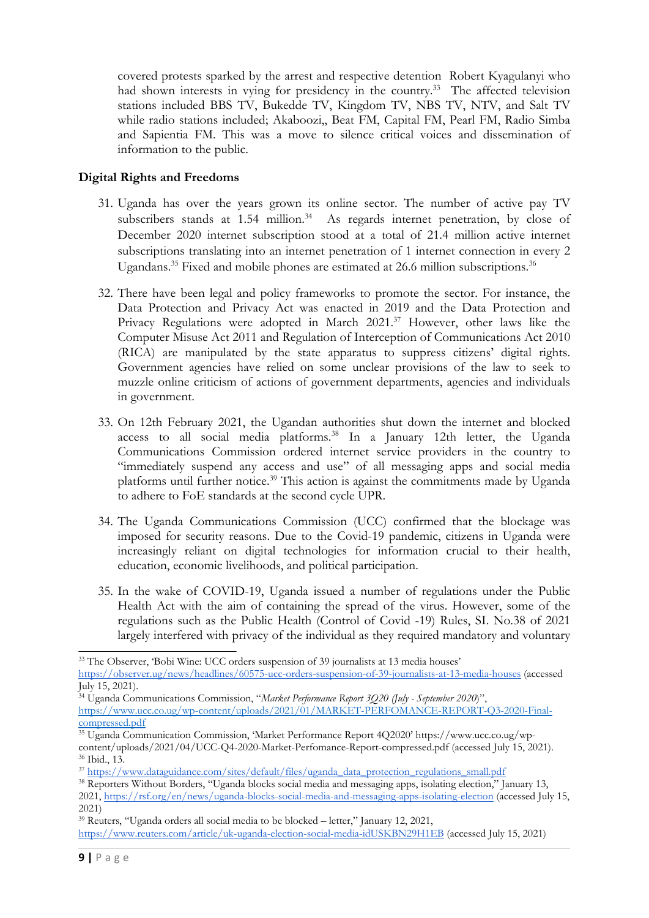covered protests sparked by the arrest and respective detention Robert Kyagulanyi who had shown interests in vying for presidency in the country.<sup>33</sup> The affected television stations included BBS TV, Bukedde TV, Kingdom TV, NBS TV, NTV, and Salt TV while radio stations included; Akaboozi,, Beat FM, Capital FM, Pearl FM, Radio Simba and Sapientia FM. This was <sup>a</sup> move to silence critical voices and dissemination of information to the public.

### **Digital Rights and Freedoms**

- 31. Uganda has over the years grown its online sector. The number of active pay TV subscribers stands at 1.54 million.<sup>34</sup> As regards internet penetration, by close of December 2020 internet subscription stood at <sup>a</sup> total of 21.4 million active internet subscriptions translating into an internet penetration of <sup>1</sup> internet connection in every <sup>2</sup> Ugandans.<sup>35</sup> Fixed and mobile phones are estimated at 26.6 million subscriptions.<sup>36</sup>
- 32. There have been legal and policy frameworks to promote the sector. For instance, the Data Protection and Privacy Act was enacted in 2019 and the Data Protection and Privacy Regulations were adopted in March 2021. <sup>37</sup> However, other laws like the Computer Misuse Act 2011 and Regulation of Interception of Communications Act 2010 (RICA) are manipulated by the state apparatus to suppress citizens' digital rights. Government agencies have relied on some unclear provisions of the law to seek to muzzle online criticism of actions of government departments, agencies and individuals in government.
- 33. On 12th February 2021, the Ugandan authorities shut down the internet and blocked access to all social media platforms. 38 In <sup>a</sup> January 12th letter, the Uganda Communications Commission ordered internet service providers in the country to "immediately suspend any access and use" of all messaging apps and social media platforms until further notice. 39 This action is against the commitments made by Uganda to adhere to FoE standards at the second cycle UPR.
- 34. The Uganda Communications Commission (UCC) confirmed that the blockage was imposed for security reasons. Due to the Covid-19 pandemic, citizens in Uganda were increasingly reliant on digital technologies for information crucial to their health, education, economic livelihoods, and political participation.
- 35. In the wake of COVID-19, Uganda issued <sup>a</sup> number of regulations under the Public Health Act with the aim of containing the spread of the virus. However, some of the regulations such as the Public Health (Control of Covid -19) Rules, SI. No.38 of 2021 largely interfered with privacy of the individual as they required mandatory and voluntary

<sup>33</sup> The Observer, 'Bobi Wine: UCC orders suspension of 39 journalists at 13 media houses' <https://observer.ug/news/headlines/60575-ucc-orders-suspension-of-39-journalists-at-13-media-houses> (accessed July 15, 2021).

<sup>34</sup> Uganda Communications Commission, "*Market Performance Report 3Q20 (July - September <sup>2020</sup>*)", https://www.ucc.co.ug/wp-content/uploads/2021/01/MARKET-PERFOMANCE-REPORT-Q3-2020-Finalcompressed.pdf

<sup>35</sup> Uganda Communication Commission, 'Market Performance Report 4Q2020' https://www.ucc.co.ug/wpcontent/uploads/2021/04/UCC-Q4-2020-Market-Perfomance-Report-compressed.pdf (accessed July 15, 2021).

<sup>36</sup> Ibid., 13.

<sup>37</sup> [https://www.dataguidance.com/sites/default/files/uganda\\_data\\_protection\\_regulations\\_small.pdf](https://www.dataguidance.com/sites/default/files/uganda_data_protection_regulations_small.pdf)

<sup>38</sup> Reporters Without Borders, "Uganda blocks social media and messaging apps, isolating election," January 13, 2021, <https://rsf.org/en/news/uganda-blocks-social-media-and-messaging-apps-isolating-election> (accessed July 15, 2021)

<sup>39</sup> Reuters, "Uganda orders all social media to be blocked – letter," January 12, 2021, <https://www.reuters.com/article/uk-uganda-election-social-media-idUSKBN29H1EB> (accessed July 15, 2021)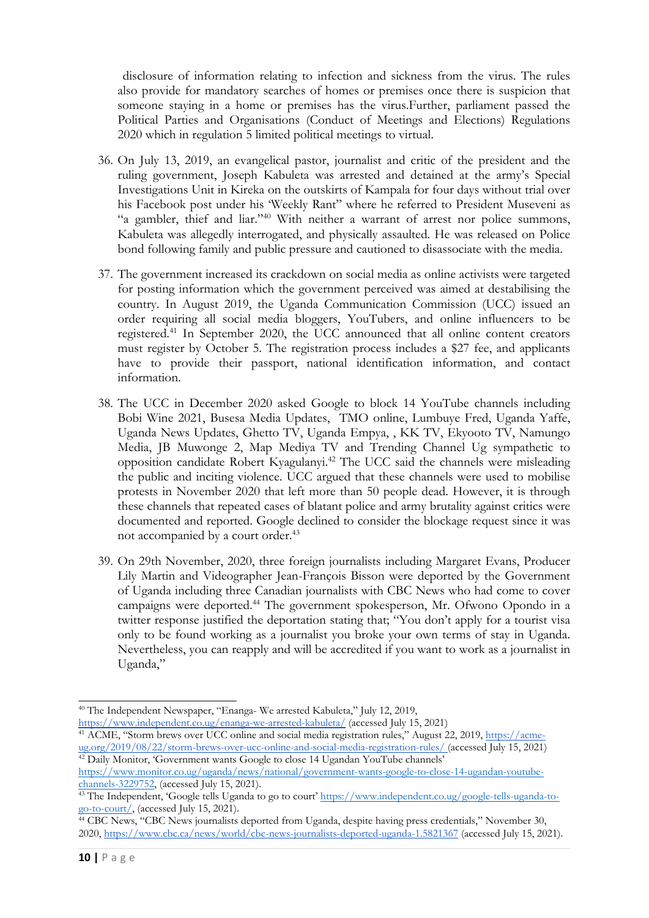disclosure of information relating to infection and sickness from the virus. The rules also provide for mandatory searches of homes or premises once there is suspicion that someone staying in <sup>a</sup> home or premises has the virus.Further, parliament passed the Political Parties and Organisations (Conduct of Meetings and Elections) Regulations 2020 which in regulation 5 limited political meetings to virtual.

- 36. On July 13, 2019, an evangelical pastor, journalist and critic of the president and the ruling government, Joseph Kabuleta was arrested and detained at the army'<sup>s</sup> Special Investigations Unit in Kireka on the outskirts of Kampala for four days without trial over his Facebook post under his 'Weekly Rant" where he referred to President Museveni as "<sup>a</sup> gambler, thief and liar."<sup>40</sup> With neither <sup>a</sup> warrant of arrest nor police summons, Kabuleta was allegedly interrogated, and physically assaulted. He was released on Police bond following family and public pressure and cautioned to disassociate with the media.
- 37. The government increased its crackdown on social media as online activists were targeted for posting information which the government perceived was aimed at destabilising the country. In August 2019, the Uganda Communication Commission (UCC) issued an order requiring all social media bloggers, YouTubers, and online influencers to be registered. 41 In September 2020, the UCC announced that all online content creators must register by October 5. The registration process includes <sup>a</sup> \$27 fee, and applicants have to provide their passport, national identification information, and contact information.
- 38. The UCC in December 2020 asked Google to block 14 YouTube channels including Bobi Wine 2021, Busesa Media Updates, TMO online, Lumbuye Fred, Uganda Yaffe, Uganda News Updates, Ghetto TV, Uganda Empya, , KK TV, Ekyooto TV, Namungo Media, JB Muwonge 2, Map Mediya TV and Trending Channel Ug sympathetic to opposition candidate Robert Kyagulanyi. 42 The UCC said the channels were misleading the public and inciting violence. UCC argued that these channels were used to mobilise protests in November 2020 that left more than 50 people dead. However, it is through these channels that repeated cases of blatant police and army brutality against critics were documented and reported. Google declined to consider the blockage request since it was not accompanied by <sup>a</sup> court order. 43
- 39. On 29th November, 2020, three foreign journalists including Margaret Evans, Producer Lily Martin and Videographer Jean-François Bisson were deported by the Government of Uganda including three Canadian journalists with CBC News who had come to cover campaigns were deported. 44 The government spokesperson, Mr. Ofwono Opondo in <sup>a</sup> twitter response justified the deportation stating that; "You don'<sup>t</sup> apply for <sup>a</sup> tourist visa only to be found working as <sup>a</sup> journalist you broke your own terms of stay in Uganda. Nevertheless, you can reapply and will be accredited if you want to work as <sup>a</sup> journalist in Uganda,"

<https://www.independent.co.ug/enanga-we-arrested-kabuleta/> (accessed July 15, 2021)

<sup>&</sup>lt;sup>40</sup> The Independent Newspaper, "Enanga- We arrested Kabuleta," July 12, 2019,

<sup>&</sup>lt;sup>41</sup> ACME, "Storm brews over UCC online and social media registration rules," August 22, 2019, [https://acme](https://acme-ug.org/2019/08/22/storm-brews-over-ucc-online-and-social-media-registration-rules/)[ug.org/2019/08/22/storm-brews-over-ucc-online-and-social-media-registration-rules/](https://acme-ug.org/2019/08/22/storm-brews-over-ucc-online-and-social-media-registration-rules/) (accessed July 15, 2021) <sup>42</sup> Daily Monitor, 'Government wants Google to close 14 Ugandan YouTube channels'

[https://www.monitor.co.ug/uganda/news/national/government-wants-google-to-close-14-ugandan-youtube](https://www.monitor.co.ug/uganda/news/national/government-wants-google-to-close-14-ugandan-youtube-channels-3229752)[channels-3229752,](https://www.monitor.co.ug/uganda/news/national/government-wants-google-to-close-14-ugandan-youtube-channels-3229752) (accessed July 15, 2021).

<sup>&</sup>lt;sup>43</sup> The Independent, 'Google tells Uganda to go to court' [https://www.independent.co.ug/google-tells-uganda-to](https://www.independent.co.ug/google-tells-uganda-to-go-to-court/)go-[to-court/](https://www.independent.co.ug/google-tells-uganda-to-go-to-court/), (accessed July 15, 2021).

<sup>44</sup> CBC News, "CBC News journalists deported from Uganda, despite having press credentials," November 30, 2020, <https://www.cbc.ca/news/world/cbc-news-journalists-deported-uganda-1.5821367> (accessed July 15, 2021).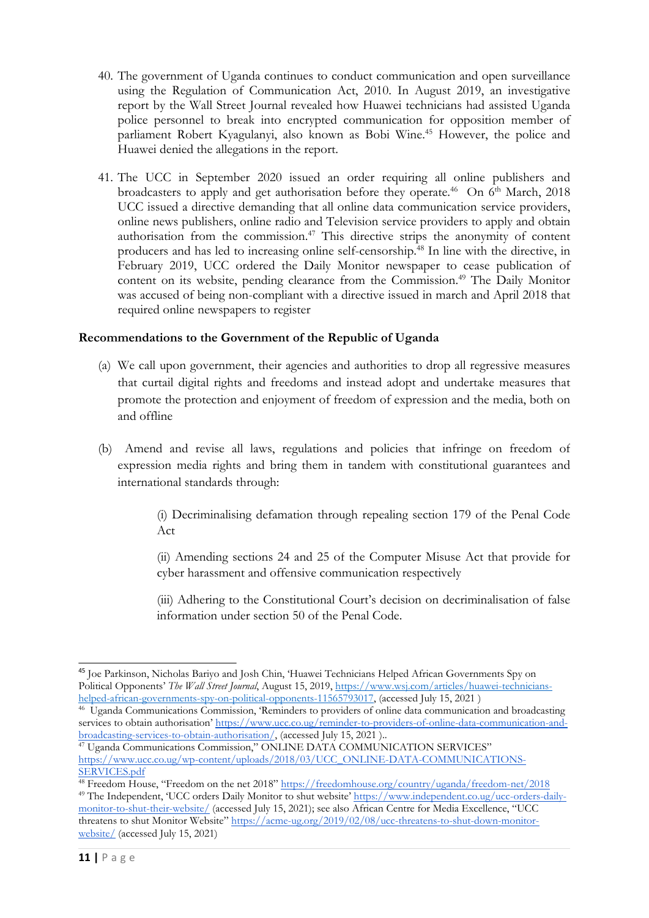- 40. The government of Uganda continues to conduct communication and open surveillance using the Regulation of Communication Act, 2010. In August 2019, an investigative report by the Wall Street Journal revealed how Huawei technicians had assisted Uganda police personnel to break into encrypted communication for opposition member of parliament Robert Kyagulanyi, also known as Bobi Wine. <sup>45</sup> However, the police and Huawei denied the allegations in the report.
- 41. The UCC in September 2020 issued an order requiring all online publishers and broadcasters to apply and get authorisation before they operate.<sup>46</sup> On 6<sup>th</sup> March, 2018 UCC issued <sup>a</sup> directive demanding that all online data communication service providers, online news publishers, online radio and Television service providers to apply and obtain authorisation from the commission. 47 This directive strips the anonymity of content producers and has led to increasing online self-censorship. 48 In line with the directive, in February 2019, UCC ordered the Daily Monitor newspaper to cease publication of content on its website, pending clearance from the Commission. 49 The Daily Monitor was accused of being non-compliant with <sup>a</sup> directive issued in march and April 2018 that required online newspapers to register

#### **Recommendations to the Government of the Republic of Uganda**

- (a) We call upon government, their agencies and authorities to drop all regressive measures that curtail digital rights and freedoms and instead adopt and undertake measures that promote the protection and enjoyment of freedom of expression and the media, both on and offline
- (b) Amend and revise all laws, regulations and policies that infringe on freedom of expression media rights and bring them in tandem with constitutional guarantees and international standards through:

(i) Decriminalising defamation through repealing section 179 of the Penal Code Act

(ii) Amending sections 24 and 25 of the Computer Misuse Act that provide for cyber harassment and offensive communication respectively

(iii) Adhering to the Constitutional Court'<sup>s</sup> decision on decriminalisation of false information under section 50 of the Penal Code.

<sup>45</sup> Joe Parkinson, Nicholas Bariyo and Josh Chin, 'Huawei Technicians Helped African Governments Spy on Political Opponents' *The Wall Street Journal*, August 15, 2019, [https://www.wsj.com/articles/huawei-technicians](https://www.wsj.com/articles/huawei-technicians-helped-african-governments-spy-on-political-opponents-11565793017)[helped-african-governments-spy-on-political-opponents-11565793017](https://www.wsj.com/articles/huawei-technicians-helped-african-governments-spy-on-political-opponents-11565793017), (accessed July 15, 2021)

<sup>46</sup> Uganda Communications Commission, 'Reminders to providers of online data communication and broadcasting services to obtain authorisation' [https://www.ucc.co.ug/reminder-to-providers-of-online-data-communication-and](https://www.ucc.co.ug/reminder-to-providers-of-online-data-communication-and-broadcasting-services-to-obtain-authorisation/)[broadcasting-services-to-obtain-authorisation/](https://www.ucc.co.ug/reminder-to-providers-of-online-data-communication-and-broadcasting-services-to-obtain-authorisation/), (accessed July 15, <sup>2021</sup> )..

<sup>&</sup>lt;sup>47</sup> Uganda Communications Commission," ONLINE DATA COMMUNICATION SERVICES" [https://www.ucc.co.ug/wp-content/uploads/2018/03/UCC\\_ONLINE-DATA-COMMUNICATIONS-](https://www.ucc.co.ug/wp-content/uploads/2018/03/UCC_ONLINE-DATA-COMMUNICATIONS-SERVICES.pdf)[SERVICES.pdf](https://www.ucc.co.ug/wp-content/uploads/2018/03/UCC_ONLINE-DATA-COMMUNICATIONS-SERVICES.pdf)

<sup>&</sup>lt;sup>48</sup> Freedom House, "Freedom on the net 2018" <https://freedomhouse.org/country/uganda/freedom-net/2018> <sup>49</sup> The Independent, 'UCC orders Daily Monitor to shut website' [https://www.independent.co.ug/ucc-orders-daily](https://www.independent.co.ug/ucc-orders-daily-monitor-to-shut-their-website/)[monitor-to-shut-their-website/](https://www.independent.co.ug/ucc-orders-daily-monitor-to-shut-their-website/) (accessed July 15, 2021); see also African Centre for Media Excellence, "UCC threatens to shut Monitor Website" [https://acme-ug.org/2019/02/08/ucc-threatens-to-shut-down-monitor](https://acme-ug.org/2019/02/08/ucc-threatens-to-shut-down-monitor-website/)[website/](https://acme-ug.org/2019/02/08/ucc-threatens-to-shut-down-monitor-website/) (accessed July 15, 2021)